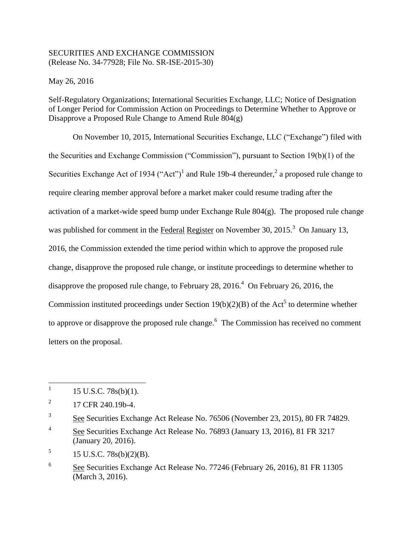## SECURITIES AND EXCHANGE COMMISSION (Release No. 34-77928; File No. SR-ISE-2015-30)

May 26, 2016

Self-Regulatory Organizations; International Securities Exchange, LLC; Notice of Designation of Longer Period for Commission Action on Proceedings to Determine Whether to Approve or Disapprove a Proposed Rule Change to Amend Rule 804(g)

On November 10, 2015, International Securities Exchange, LLC ("Exchange") filed with the Securities and Exchange Commission ("Commission"), pursuant to Section 19(b)(1) of the Securities Exchange Act of 1934 ("Act")<sup>1</sup> and Rule 19b-4 thereunder,<sup>2</sup> a proposed rule change to require clearing member approval before a market maker could resume trading after the activation of a market-wide speed bump under Exchange Rule  $804(g)$ . The proposed rule change was published for comment in the Federal Register on November 30, 2015.<sup>3</sup> On January 13, 2016, the Commission extended the time period within which to approve the proposed rule change, disapprove the proposed rule change, or institute proceedings to determine whether to disapprove the proposed rule change, to February 28,  $2016<sup>4</sup>$  On February 26, 2016, the Commission instituted proceedings under Section  $19(b)(2)(B)$  of the Act<sup>5</sup> to determine whether to approve or disapprove the proposed rule change. $<sup>6</sup>$  The Commission has received no comment</sup> letters on the proposal.

5 15 U.S.C. 78s(b)(2)(B).

 $\frac{1}{1}$ 15 U.S.C. 78s(b)(1).

<sup>2</sup> 17 CFR 240.19b-4.

<sup>3</sup> See Securities Exchange Act Release No. 76506 (November 23, 2015), 80 FR 74829.

<sup>4</sup> See Securities Exchange Act Release No. 76893 (January 13, 2016), 81 FR 3217 (January 20, 2016).

<sup>6</sup> See Securities Exchange Act Release No. 77246 (February 26, 2016), 81 FR 11305 (March 3, 2016).